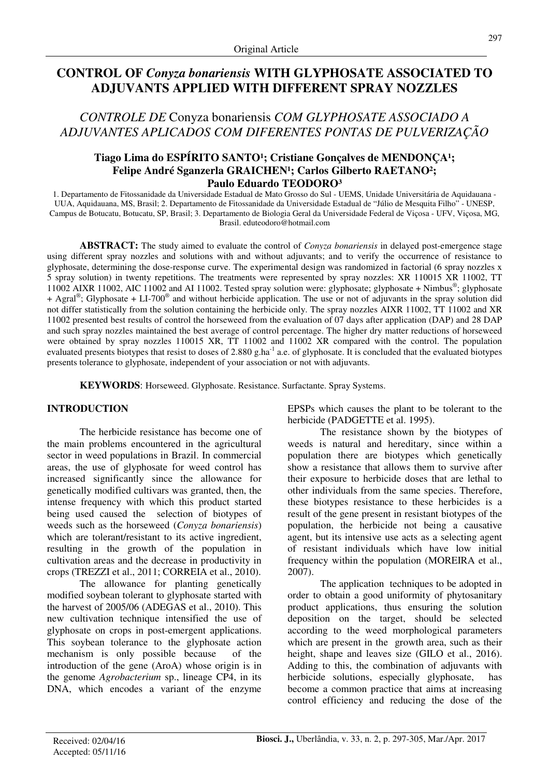# **CONTROL OF** *Conyza bonariensis* **WITH GLYPHOSATE ASSOCIATED TO ADJUVANTS APPLIED WITH DIFFERENT SPRAY NOZZLES**

*CONTROLE DE* Conyza bonariensis *COM GLYPHOSATE ASSOCIADO A ADJUVANTES APLICADOS COM DIFERENTES PONTAS DE PULVERIZAÇÃO* 

## Tiago Lima do ESPÍRITO SANTO<sup>1</sup>; Cristiane Gonçalves de MENDONÇA<sup>1</sup>; Felipe André Sganzerla GRAICHEN<sup>1</sup>; Carlos Gilberto RAETANO<sup>2</sup>; **Paulo Eduardo TEODORO³**

1. Departamento de Fitossanidade da Universidade Estadual de Mato Grosso do Sul - UEMS, Unidade Universitária de Aquidauana - UUA, Aquidauana, MS, Brasil; 2. Departamento de Fitossanidade da Universidade Estadual de "Júlio de Mesquita Filho" - UNESP, Campus de Botucatu, Botucatu, SP, Brasil; 3. Departamento de Biologia Geral da Universidade Federal de Viçosa - UFV, Viçosa, MG, Brasil. eduteodoro@hotmail.com

**ABSTRACT:** The study aimed to evaluate the control of *Conyza bonariensis* in delayed post-emergence stage using different spray nozzles and solutions with and without adjuvants; and to verify the occurrence of resistance to glyphosate, determining the dose-response curve. The experimental design was randomized in factorial (6 spray nozzles x 5 spray solution) in twenty repetitions. The treatments were represented by spray nozzles: XR 110015 XR 11002, TT 11002 AIXR 11002, AIC 11002 and AI 11002. Tested spray solution were: glyphosate; glyphosate + Nimbus®; glyphosate + Agral® ; Glyphosate + LI-700® and without herbicide application. The use or not of adjuvants in the spray solution did not differ statistically from the solution containing the herbicide only. The spray nozzles AIXR 11002, TT 11002 and XR 11002 presented best results of control the horseweed from the evaluation of 07 days after application (DAP) and 28 DAP and such spray nozzles maintained the best average of control percentage. The higher dry matter reductions of horseweed were obtained by spray nozzles 110015 XR, TT 11002 and 11002 XR compared with the control. The population evaluated presents biotypes that resist to doses of 2.880 g.ha<sup>-1</sup> a.e. of glyphosate. It is concluded that the evaluated biotypes presents tolerance to glyphosate, independent of your association or not with adjuvants.

**KEYWORDS**: Horseweed. Glyphosate. Resistance. Surfactante. Spray Systems.

## **INTRODUCTION**

The herbicide resistance has become one of the main problems encountered in the agricultural sector in weed populations in Brazil. In commercial areas, the use of glyphosate for weed control has increased significantly since the allowance for genetically modified cultivars was granted, then, the intense frequency with which this product started being used caused the selection of biotypes of weeds such as the horseweed (*Conyza bonariensis*) which are tolerant/resistant to its active ingredient, resulting in the growth of the population in cultivation areas and the decrease in productivity in crops (TREZZI et al., 2011; CORREIA et al., 2010).

The allowance for planting genetically modified soybean tolerant to glyphosate started with the harvest of 2005/06 (ADEGAS et al., 2010). This new cultivation technique intensified the use of glyphosate on crops in post-emergent applications. This soybean tolerance to the glyphosate action mechanism is only possible because of the introduction of the gene (AroA) whose origin is in the genome *Agrobacterium* sp., lineage CP4, in its DNA, which encodes a variant of the enzyme

EPSPs which causes the plant to be tolerant to the herbicide (PADGETTE et al. 1995).

The resistance shown by the biotypes of weeds is natural and hereditary, since within a population there are biotypes which genetically show a resistance that allows them to survive after their exposure to herbicide doses that are lethal to other individuals from the same species. Therefore, these biotypes resistance to these herbicides is a result of the gene present in resistant biotypes of the population, the herbicide not being a causative agent, but its intensive use acts as a selecting agent of resistant individuals which have low initial frequency within the population (MOREIRA et al., 2007).

The application techniques to be adopted in order to obtain a good uniformity of phytosanitary product applications, thus ensuring the solution deposition on the target, should be selected according to the weed morphological parameters which are present in the growth area, such as their height, shape and leaves size (GILO et al., 2016). Adding to this, the combination of adjuvants with herbicide solutions, especially glyphosate, has become a common practice that aims at increasing control efficiency and reducing the dose of the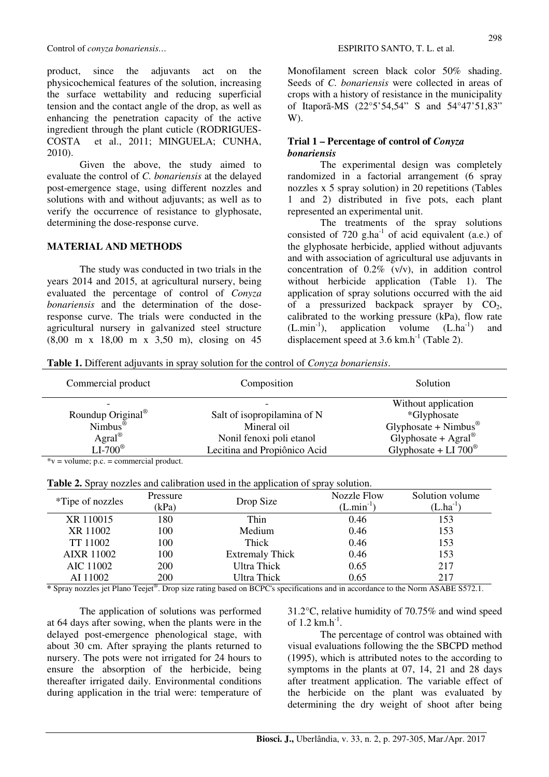product, since the adjuvants act on the physicochemical features of the solution, increasing the surface wettability and reducing superficial tension and the contact angle of the drop, as well as enhancing the penetration capacity of the active ingredient through the plant cuticle (RODRIGUES-COSTA et al., 2011; MINGUELA; CUNHA, 2010).

Given the above, the study aimed to evaluate the control of *C. bonariensis* at the delayed post-emergence stage, using different nozzles and solutions with and without adjuvants; as well as to verify the occurrence of resistance to glyphosate, determining the dose-response curve.

#### **MATERIAL AND METHODS**

The study was conducted in two trials in the years 2014 and 2015, at agricultural nursery, being evaluated the percentage of control of *Conyza bonariensis* and the determination of the doseresponse curve. The trials were conducted in the agricultural nursery in galvanized steel structure (8,00 m x 18,00 m x 3,50 m), closing on 45 Monofilament screen black color 50% shading. Seeds of *C. bonariensis* were collected in areas of crops with a history of resistance in the municipality of Itaporã-MS (22°5'54,54" S and 54°47'51,83" W).

## **Trial 1 – Percentage of control of** *Conyza bonariensis*

The experimental design was completely randomized in a factorial arrangement (6 spray nozzles x 5 spray solution) in 20 repetitions (Tables 1 and 2) distributed in five pots, each plant represented an experimental unit.

The treatments of the spray solutions consisted of  $720 \text{ g.ha}^{-1}$  of acid equivalent (a.e.) of the glyphosate herbicide, applied without adjuvants and with association of agricultural use adjuvants in concentration of 0.2% (v/v), in addition control without herbicide application (Table 1). The application of spray solutions occurred with the aid of a pressurized backpack sprayer by  $CO<sub>2</sub>$ , calibrated to the working pressure (kPa), flow rate  $(L.min<sup>-1</sup>)$ , application volume  $(L.ha<sup>-1</sup>)$  and displacement speed at  $3.6 \text{ km.h}^{-1}$  (Table 2).

**Table 1.** Different adjuvants in spray solution for the control of *Conyza bonariensis*.

| Commercial product                        | Composition                  | Solution                                |  |
|-------------------------------------------|------------------------------|-----------------------------------------|--|
|                                           |                              | Without application                     |  |
| Roundup Original <sup>®</sup>             | Salt of isopropilamina of N  | *Glyphosate                             |  |
| Nimbus <sup><math>\bar{\Phi}</math></sup> | Mineral oil                  | Glyphosate + $Nimbus^@$                 |  |
| Agral <sup>®</sup>                        | Nonil fenoxi poli etanol     | Glyphosate + $\text{Agral}^{\circledR}$ |  |
| $LI-700^{\circ}$                          | Lecitina and Propiônico Acid | Glyphosate + LI $700^{\circ}$           |  |

 $*v = volume$ ; p.c. = commercial product.

| Table 2. Spray nozzles and calibration used in the application of spray solution. |  |
|-----------------------------------------------------------------------------------|--|
|-----------------------------------------------------------------------------------|--|

| <b>Table 2.</b> Optay hozzlos and canotation ascd in the application of spray solution. |          |                        |                    |                 |  |
|-----------------------------------------------------------------------------------------|----------|------------------------|--------------------|-----------------|--|
| <i>*Tipe of nozzles</i>                                                                 | Pressure | Drop Size              | <b>Nozzle Flow</b> | Solution volume |  |
|                                                                                         | (kPa)    |                        | $(L.min^{-1})$     | $(L.ha^{-1})$   |  |
| XR 110015                                                                               | 180      | Thin                   | 0.46               | 153             |  |
| XR 11002                                                                                | 100      | Medium                 | 0.46               | 153             |  |
| TT 11002                                                                                | 100      | Thick                  | 0.46               | 153             |  |
| <b>AIXR 11002</b>                                                                       | 100      | <b>Extremaly Thick</b> | 0.46               | 153             |  |
| AIC 11002                                                                               | 200      | <b>Ultra Thick</b>     | 0.65               | 217             |  |
| AI 11002                                                                                | 200      | Ultra Thick            | 0.65               | 217             |  |

**\*** Spray nozzles jet Plano Teejet® . Drop size rating based on BCPC's specifications and in accordance to the Norm ASABE S572.1.

The application of solutions was performed at 64 days after sowing, when the plants were in the delayed post-emergence phenological stage, with about 30 cm. After spraying the plants returned to nursery. The pots were not irrigated for 24 hours to ensure the absorption of the herbicide, being thereafter irrigated daily. Environmental conditions during application in the trial were: temperature of 31.2°C, relative humidity of 70.75% and wind speed of 1.2  $km.h^{-1}$ .

The percentage of control was obtained with visual evaluations following the the SBCPD method (1995), which is attributed notes to the according to symptoms in the plants at 07, 14, 21 and 28 days after treatment application. The variable effect of the herbicide on the plant was evaluated by determining the dry weight of shoot after being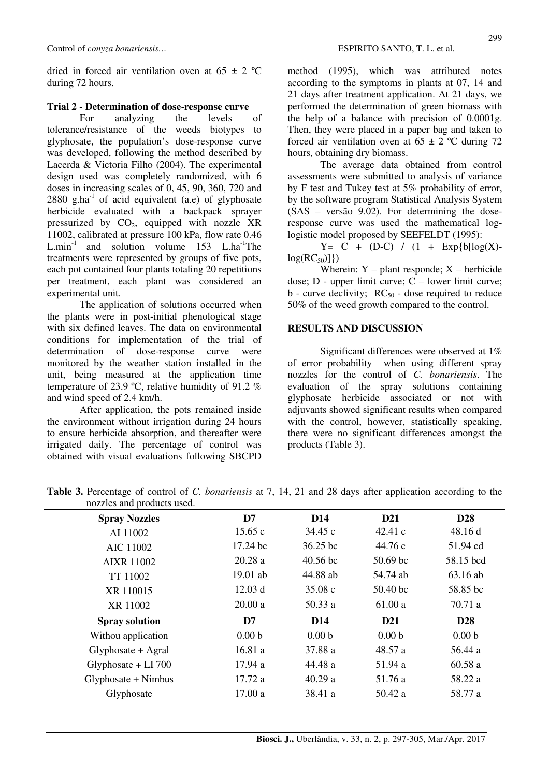dried in forced air ventilation oven at  $65 \pm 2$  °C during 72 hours.

## **Trial 2 - Determination of dose-response curve**

For analyzing the levels of tolerance/resistance of the weeds biotypes to glyphosate, the population's dose-response curve was developed, following the method described by Lacerda & Victoria Filho (2004). The experimental design used was completely randomized, with 6 doses in increasing scales of 0, 45, 90, 360, 720 and 2880 g.ha<sup>-1</sup> of acid equivalent (a.e) of glyphosate herbicide evaluated with a backpack sprayer pressurized by  $CO<sub>2</sub>$ , equipped with nozzle XR 11002, calibrated at pressure 100 kPa, flow rate 0.46 L.min<sup>-1</sup> and solution volume  $153$  L.ha<sup>-1</sup>The treatments were represented by groups of five pots, each pot contained four plants totaling 20 repetitions per treatment, each plant was considered an experimental unit.

The application of solutions occurred when the plants were in post-initial phenological stage with six defined leaves. The data on environmental conditions for implementation of the trial of determination of dose-response curve were monitored by the weather station installed in the unit, being measured at the application time temperature of 23.9 ºC, relative humidity of 91.2 % and wind speed of 2.4 km/h.

After application, the pots remained inside the environment without irrigation during 24 hours to ensure herbicide absorption, and thereafter were irrigated daily. The percentage of control was obtained with visual evaluations following SBCPD method (1995), which was attributed notes according to the symptoms in plants at 07, 14 and 21 days after treatment application. At 21 days, we performed the determination of green biomass with the help of a balance with precision of 0.0001g. Then, they were placed in a paper bag and taken to forced air ventilation oven at  $65 \pm 2$  °C during 72 hours, obtaining dry biomass.

The average data obtained from control assessments were submitted to analysis of variance by F test and Tukey test at 5% probability of error, by the software program Statistical Analysis System (SAS – versão 9.02). For determining the doseresponse curve was used the mathematical loglogistic model proposed by SEEFELDT (1995):

 $Y = C + (D-C) / (1 + Exp{b[log(X))}$  $log(RC_{50})$ ]})

Wherein:  $Y$  – plant responde;  $X$  – herbicide dose; D - upper limit curve; C – lower limit curve;  $b$  - curve declivity;  $RC_{50}$  - dose required to reduce 50% of the weed growth compared to the control.

## **RESULTS AND DISCUSSION**

Significant differences were observed at 1% of error probability when using different spray nozzles for the control of *C. bonariensis*. The evaluation of the spray solutions containing glyphosate herbicide associated or not with adjuvants showed significant results when compared with the control, however, statistically speaking, there were no significant differences amongst the products (Table 3).

| nozzics and products used. |                   |                   |                   |                   |
|----------------------------|-------------------|-------------------|-------------------|-------------------|
| <b>Spray Nozzles</b>       | D7                | <b>D14</b>        | <b>D21</b>        | <b>D28</b>        |
| AI 11002                   | 15.65c            | 34.45c            | 42.41c            | 48.16d            |
| AIC 11002                  | 17.24 bc          | 36.25 bc          | 44.76 c           | 51.94 cd          |
| <b>AIXR 11002</b>          | 20.28a            | $40.56$ bc        | 50.69 bc          | 58.15 bcd         |
| TT 11002                   | 19.01 ab          | 44.88 ab          | 54.74 ab          | 63.16 ab          |
| XR 110015                  | 12.03 d           | 35.08c            | 50.40 bc          | 58.85 bc          |
| XR 11002                   | 20.00a            | 50.33a            | 61.00a            | 70.71 a           |
| <b>Spray solution</b>      | D7                | <b>D14</b>        | D <sub>21</sub>   | <b>D28</b>        |
| Withou application         | 0.00 <sub>b</sub> | 0.00 <sub>b</sub> | 0.00 <sub>b</sub> | 0.00 <sub>b</sub> |
| $Glyphosate + Agral$       | 16.81a            | 37.88 a           | 48.57 a           | 56.44 a           |
| Glyphosate + $LI$ 700      | 17.94 a           | 44.48 a           | 51.94 a           | 60.58a            |
| $Glyphosate + Nimbus$      | 17.72 a           | 40.29a            | 51.76 a           | 58.22 a           |
| Glyphosate                 | 17.00a            | 38.41 a           | 50.42 a           | 58.77 a           |

**Table 3.** Percentage of control of *C. bonariensis* at 7, 14, 21 and 28 days after application according to the nozzles and products used.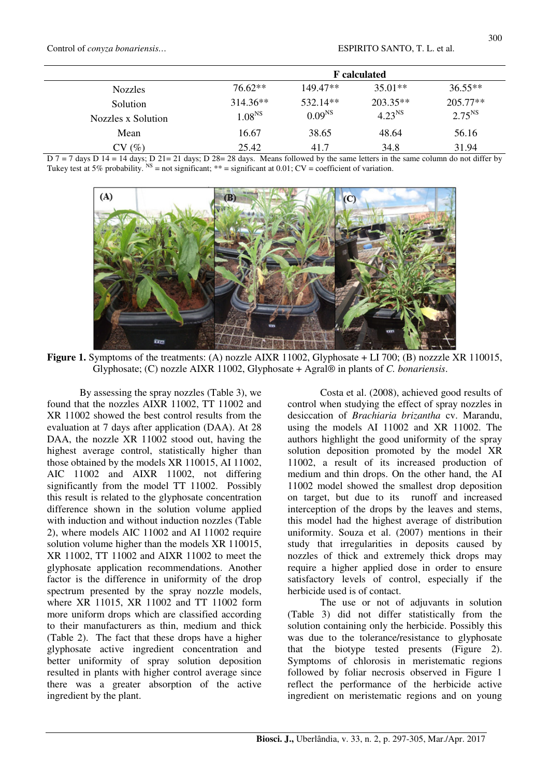|                    | <b>F</b> calculated |             |             |             |
|--------------------|---------------------|-------------|-------------|-------------|
| <b>Nozzles</b>     | $76.62**$           | $149.47**$  | $35.01**$   | $36.55**$   |
| Solution           | $314.36**$          | 532.14**    | $203.35**$  | $205.77**$  |
| Nozzles x Solution | 1.08 <sup>NS</sup>  | $0.09^{NS}$ | $4.23^{NS}$ | $2.75^{NS}$ |
| Mean               | 16.67               | 38.65       | 48.64       | 56.16       |
| CV(%)              | 25.42               | 41.7        | 34.8        | 31.94       |

 $D$  7 = 7 days D 14 = 14 days; D 21= 21 days; D 28= 28 days. Means followed by the same letters in the same column do not differ by Tukey test at 5% probability.  $^{NS}$  = not significant; \*\* = significant at 0.01; CV = coefficient of variation.



**Figure 1.** Symptoms of the treatments: (A) nozzle AIXR 11002, Glyphosate + LI 700; (B) nozzzle XR 110015, Glyphosate; (C) nozzle AIXR 11002, Glyphosate + Agral® in plants of *C. bonariensis*.

By assessing the spray nozzles (Table 3), we found that the nozzles AIXR 11002, TT 11002 and XR 11002 showed the best control results from the evaluation at 7 days after application (DAA). At 28 DAA, the nozzle XR 11002 stood out, having the highest average control, statistically higher than those obtained by the models XR 110015, AI 11002, AIC 11002 and AIXR 11002, not differing significantly from the model TT 11002. Possibly this result is related to the glyphosate concentration difference shown in the solution volume applied with induction and without induction nozzles (Table 2), where models AIC 11002 and AI 11002 require solution volume higher than the models XR 110015, XR 11002, TT 11002 and AIXR 11002 to meet the glyphosate application recommendations. Another factor is the difference in uniformity of the drop spectrum presented by the spray nozzle models, where XR 11015, XR 11002 and TT 11002 form more uniform drops which are classified according to their manufacturers as thin, medium and thick (Table 2). The fact that these drops have a higher glyphosate active ingredient concentration and better uniformity of spray solution deposition resulted in plants with higher control average since there was a greater absorption of the active ingredient by the plant.

Costa et al. (2008), achieved good results of control when studying the effect of spray nozzles in desiccation of *Brachiaria brizantha* cv. Marandu, using the models AI 11002 and XR 11002. The authors highlight the good uniformity of the spray solution deposition promoted by the model XR 11002, a result of its increased production of medium and thin drops. On the other hand, the AI 11002 model showed the smallest drop deposition on target, but due to its runoff and increased interception of the drops by the leaves and stems, this model had the highest average of distribution uniformity. Souza et al. (2007) mentions in their study that irregularities in deposits caused by nozzles of thick and extremely thick drops may require a higher applied dose in order to ensure satisfactory levels of control, especially if the herbicide used is of contact.

The use or not of adjuvants in solution (Table 3) did not differ statistically from the solution containing only the herbicide. Possibly this was due to the tolerance/resistance to glyphosate that the biotype tested presents (Figure 2). Symptoms of chlorosis in meristematic regions followed by foliar necrosis observed in Figure 1 reflect the performance of the herbicide active ingredient on meristematic regions and on young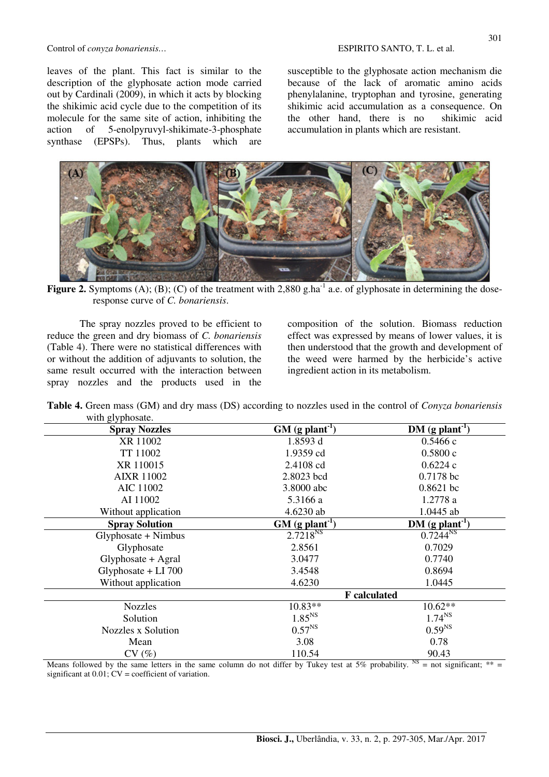#### Control of *conyza bonariensis…* ESPIRITO SANTO, T. L. et al.

leaves of the plant. This fact is similar to the description of the glyphosate action mode carried out by Cardinali (2009), in which it acts by blocking the shikimic acid cycle due to the competition of its molecule for the same site of action, inhibiting the action of 5-enolpyruvyl-shikimate-3-phosphate synthase (EPSPs). Thus, plants which are

susceptible to the glyphosate action mechanism die because of the lack of aromatic amino acids phenylalanine, tryptophan and tyrosine, generating shikimic acid accumulation as a consequence. On the other hand, there is no shikimic acid accumulation in plants which are resistant.



**Figure 2.** Symptoms (A); (B); (C) of the treatment with 2,880 g.ha<sup>-1</sup> a.e. of glyphosate in determining the doseresponse curve of *C. bonariensis*.

The spray nozzles proved to be efficient to reduce the green and dry biomass of *C. bonariensis* (Table 4). There were no statistical differences with or without the addition of adjuvants to solution, the same result occurred with the interaction between spray nozzles and the products used in the composition of the solution. Biomass reduction effect was expressed by means of lower values, it is then understood that the growth and development of the weed were harmed by the herbicide's active ingredient action in its metabolism.

**Table 4.** Green mass (GM) and dry mass (DS) according to nozzles used in the control of *Conyza bonariensis* with glyphosate.

|                               | $DM$ (g plant <sup>-1</sup> )                                                        |
|-------------------------------|--------------------------------------------------------------------------------------|
|                               | 0.5466c                                                                              |
|                               | 0.5800c                                                                              |
|                               | 0.6224c                                                                              |
| 2.8023 bcd                    | 0.7178 bc                                                                            |
| 3.8000 abc                    | $0.8621$ bc                                                                          |
| 5.3166 a                      | 1.2778 a                                                                             |
| 4.6230 ab                     | 1.0445 ab                                                                            |
| $GM$ (g plant <sup>-1</sup> ) | $DM$ (g plant <sup>-1</sup> )                                                        |
|                               | $0.7244^{NS}$                                                                        |
| 2.8561                        | 0.7029                                                                               |
| 3.0477                        | 0.7740                                                                               |
| 3.4548                        | 0.8694                                                                               |
| 4.6230                        | 1.0445                                                                               |
| <b>F</b> calculated           |                                                                                      |
| $10.83**$                     | $10.62**$                                                                            |
| 1.85 <sup>NS</sup>            | $1.74^{NS}$                                                                          |
| $0.57^{NS}$                   | $0.59^{NS}$                                                                          |
| 3.08                          | 0.78                                                                                 |
| 110.54                        | 90.43<br>NC                                                                          |
|                               | $GM$ (g plant <sup>-1</sup> )<br>1.8593 d<br>1.9359 cd<br>2.4108 cd<br>$2.7218^{NS}$ |

Means followed by the same letters in the same column do not differ by Tukey test at 5% probability.  $^{NS}$  = not significant; \*\*= significant at  $0.01$ ;  $CV = coefficient$  of variation.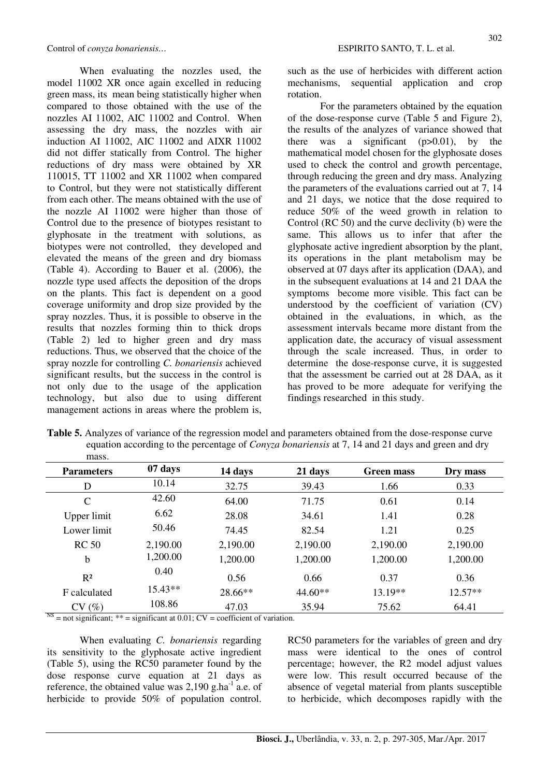When evaluating the nozzles used, the model 11002 XR once again excelled in reducing green mass, its mean being statistically higher when compared to those obtained with the use of the nozzles AI 11002, AIC 11002 and Control. When assessing the dry mass, the nozzles with air induction AI 11002, AIC 11002 and AIXR 11002 did not differ statically from Control. The higher reductions of dry mass were obtained by XR 110015, TT 11002 and XR 11002 when compared to Control, but they were not statistically different from each other. The means obtained with the use of the nozzle AI 11002 were higher than those of Control due to the presence of biotypes resistant to glyphosate in the treatment with solutions, as biotypes were not controlled, they developed and elevated the means of the green and dry biomass (Table 4). According to Bauer et al. (2006), the nozzle type used affects the deposition of the drops on the plants. This fact is dependent on a good coverage uniformity and drop size provided by the spray nozzles. Thus, it is possible to observe in the results that nozzles forming thin to thick drops (Table 2) led to higher green and dry mass reductions. Thus, we observed that the choice of the spray nozzle for controlling *C. bonariensis* achieved significant results, but the success in the control is not only due to the usage of the application technology, but also due to using different management actions in areas where the problem is, such as the use of herbicides with different action mechanisms, sequential application and crop rotation.

For the parameters obtained by the equation of the dose-response curve (Table 5 and Figure 2), the results of the analyzes of variance showed that there was a significant  $(p>0.01)$ , by the mathematical model chosen for the glyphosate doses used to check the control and growth percentage, through reducing the green and dry mass. Analyzing the parameters of the evaluations carried out at 7, 14 and 21 days, we notice that the dose required to reduce 50% of the weed growth in relation to Control (RC 50) and the curve declivity (b) were the same. This allows us to infer that after the glyphosate active ingredient absorption by the plant, its operations in the plant metabolism may be observed at 07 days after its application (DAA), and in the subsequent evaluations at 14 and 21 DAA the symptoms become more visible. This fact can be understood by the coefficient of variation (CV) obtained in the evaluations, in which, as the assessment intervals became more distant from the application date, the accuracy of visual assessment through the scale increased. Thus, in order to determine the dose-response curve, it is suggested that the assessment be carried out at 28 DAA, as it has proved to be more adequate for verifying the findings researched in this study.

| mass.             |           |          |           |                   |           |
|-------------------|-----------|----------|-----------|-------------------|-----------|
| <b>Parameters</b> | 07 days   | 14 days  | 21 days   | <b>Green mass</b> | Dry mass  |
| D                 | 10.14     | 32.75    | 39.43     | 1.66              | 0.33      |
| $\mathcal{C}$     | 42.60     | 64.00    | 71.75     | 0.61              | 0.14      |
| Upper limit       | 6.62      | 28.08    | 34.61     | 1.41              | 0.28      |
| Lower limit       | 50.46     | 74.45    | 82.54     | 1.21              | 0.25      |
| <b>RC 50</b>      | 2,190.00  | 2,190.00 | 2,190.00  | 2,190.00          | 2,190.00  |
| $\mathbf b$       | 1,200.00  | 1,200.00 | 1,200.00  | 1,200.00          | 1,200.00  |
| $R^2$             | 0.40      | 0.56     | 0.66      | 0.37              | 0.36      |
| F calculated      | $15.43**$ | 28.66**  | $44.60**$ | $13.19**$         | $12.57**$ |
| CV(%)             | 108.86    | 47.03    | 35.94     | 75.62             | 64.41     |

**Table 5.** Analyzes of variance of the regression model and parameters obtained from the dose-response curve equation according to the percentage of *Conyza bonariensis* at 7, 14 and 21 days and green and dry

 $N<sup>NS</sup>$  = not significant; \*\* = significant at 0.01; CV = coefficient of variation.

When evaluating *C. bonariensis* regarding its sensitivity to the glyphosate active ingredient (Table 5), using the RC50 parameter found by the dose response curve equation at 21 days as reference, the obtained value was  $2,190$  g.ha<sup>-1</sup> a.e. of herbicide to provide 50% of population control. RC50 parameters for the variables of green and dry mass were identical to the ones of control percentage; however, the R2 model adjust values were low. This result occurred because of the absence of vegetal material from plants susceptible to herbicide, which decomposes rapidly with the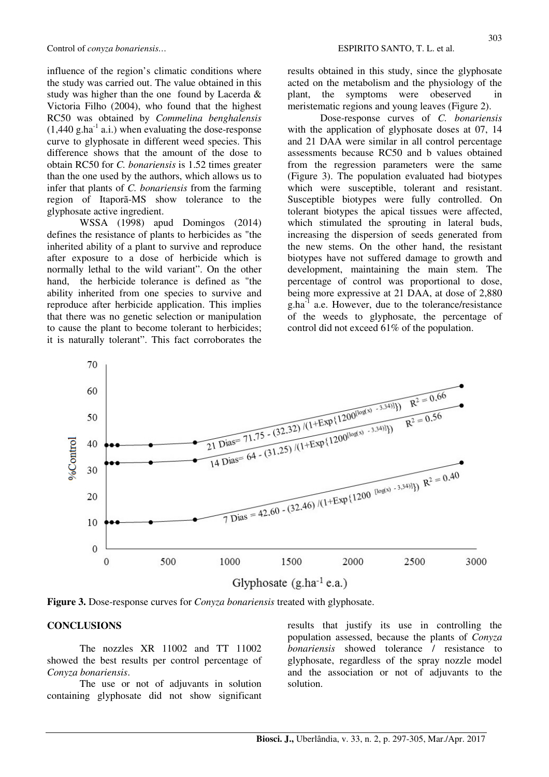influence of the region's climatic conditions where the study was carried out. The value obtained in this study was higher than the one found by Lacerda & Victoria Filho (2004), who found that the highest RC50 was obtained by *Commelina benghalensis*  $(1,440 \text{ g.ha}^{-1} \text{ a.i.})$  when evaluating the dose-response curve to glyphosate in different weed species. This difference shows that the amount of the dose to obtain RC50 for *C. bonariensis* is 1.52 times greater than the one used by the authors, which allows us to infer that plants of *C. bonariensis* from the farming region of Itaporã-MS show tolerance to the glyphosate active ingredient.

WSSA (1998) apud Domingos (2014) defines the resistance of plants to herbicides as "the inherited ability of a plant to survive and reproduce after exposure to a dose of herbicide which is normally lethal to the wild variant". On the other hand, the herbicide tolerance is defined as "the ability inherited from one species to survive and reproduce after herbicide application. This implies that there was no genetic selection or manipulation to cause the plant to become tolerant to herbicides; it is naturally tolerant". This fact corroborates the results obtained in this study, since the glyphosate acted on the metabolism and the physiology of the plant, the symptoms were obeserved in meristematic regions and young leaves (Figure 2).

Dose-response curves of *C. bonariensis* with the application of glyphosate doses at 07, 14 and 21 DAA were similar in all control percentage assessments because RC50 and b values obtained from the regression parameters were the same (Figure 3). The population evaluated had biotypes which were susceptible, tolerant and resistant. Susceptible biotypes were fully controlled. On tolerant biotypes the apical tissues were affected, which stimulated the sprouting in lateral buds, increasing the dispersion of seeds generated from the new stems. On the other hand, the resistant biotypes have not suffered damage to growth and development, maintaining the main stem. The percentage of control was proportional to dose, being more expressive at 21 DAA, at dose of 2,880  $g$ .ha $^{-1}$  a.e. However, due to the tolerance/resistance of the weeds to glyphosate, the percentage of control did not exceed 61% of the population.



**Figure 3.** Dose-response curves for *Conyza bonariensis* treated with glyphosate.

## **CONCLUSIONS**

The nozzles XR 11002 and TT 11002 showed the best results per control percentage of *Conyza bonariensis*.

The use or not of adjuvants in solution containing glyphosate did not show significant results that justify its use in controlling the population assessed, because the plants of *Conyza bonariensis* showed tolerance / resistance to glyphosate, regardless of the spray nozzle model and the association or not of adjuvants to the solution.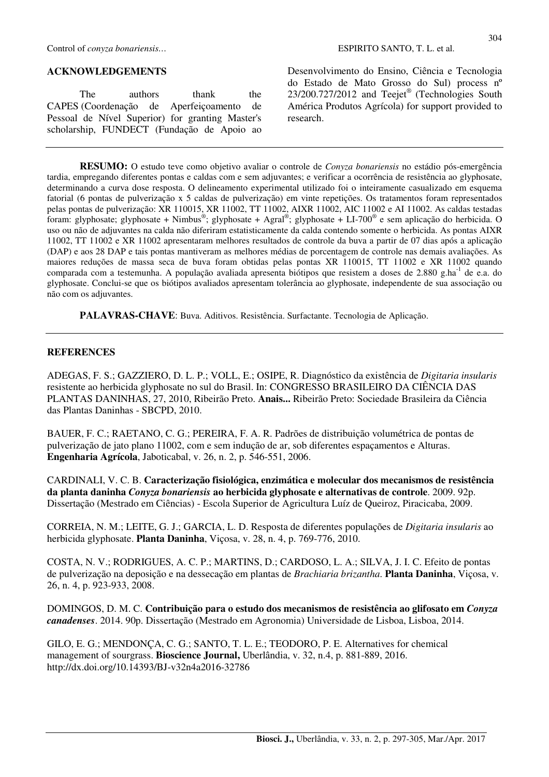## **ACKNOWLEDGEMENTS**

The authors thank the CAPES (Coordenação de Aperfeiçoamento de Pessoal de Nível Superior) for granting Master's scholarship, FUNDECT (Fundação de Apoio ao 304

Desenvolvimento do Ensino, Ciência e Tecnologia do Estado de Mato Grosso do Sul) process nº 23/200.727/2012 and Teejet® (Technologies South América Produtos Agrícola) for support provided to research.

**RESUMO:** O estudo teve como objetivo avaliar o controle de *Conyza bonariensis* no estádio pós-emergência tardia, empregando diferentes pontas e caldas com e sem adjuvantes; e verificar a ocorrência de resistência ao glyphosate, determinando a curva dose resposta. O delineamento experimental utilizado foi o inteiramente casualizado em esquema fatorial (6 pontas de pulverização x 5 caldas de pulverização) em vinte repetições. Os tratamentos foram representados pelas pontas de pulverização: XR 110015, XR 11002, TT 11002, AIXR 11002, AIC 11002 e AI 11002. As caldas testadas foram: glyphosate; glyphosate + Nimbus®; glyphosate + Agral®; glyphosate + LI-700® e sem aplicação do herbicida. O uso ou não de adjuvantes na calda não diferiram estatisticamente da calda contendo somente o herbicida. As pontas AIXR 11002, TT 11002 e XR 11002 apresentaram melhores resultados de controle da buva a partir de 07 dias após a aplicação (DAP) e aos 28 DAP e tais pontas mantiveram as melhores médias de porcentagem de controle nas demais avaliações. As maiores reduções de massa seca de buva foram obtidas pelas pontas XR 110015, TT 11002 e XR 11002 quando comparada com a testemunha. A população avaliada apresenta biótipos que resistem a doses de 2.880 g.ha<sup>-1</sup> de e.a. do glyphosate. Conclui-se que os biótipos avaliados apresentam tolerância ao glyphosate, independente de sua associação ou não com os adjuvantes.

**PALAVRAS-CHAVE**: Buva. Aditivos. Resistência. Surfactante. Tecnologia de Aplicação.

#### **REFERENCES**

ADEGAS, F. S.; GAZZIERO, D. L. P.; VOLL, E.; OSIPE, R. Diagnóstico da existência de *Digitaria insularis* resistente ao herbicida glyphosate no sul do Brasil. In: CONGRESSO BRASILEIRO DA CIÊNCIA DAS PLANTAS DANINHAS, 27, 2010, Ribeirão Preto. **Anais...** Ribeirão Preto: Sociedade Brasileira da Ciência das Plantas Daninhas - SBCPD, 2010.

BAUER, F. C.; RAETANO, C. G.; PEREIRA, F. A. R. Padrões de distribuição volumétrica de pontas de pulverização de jato plano 11002, com e sem indução de ar, sob diferentes espaçamentos e Alturas. **Engenharia Agrícola**, Jaboticabal, v. 26, n. 2, p. 546-551, 2006.

CARDINALI, V. C. B. **Caracterização fisiológica, enzimática e molecular dos mecanismos de resistência da planta daninha** *Conyza bonariensis* **ao herbicida glyphosate e alternativas de controle**. 2009. 92p. Dissertação (Mestrado em Ciências) - Escola Superior de Agricultura Luíz de Queiroz, Piracicaba, 2009.

CORREIA, N. M.; LEITE, G. J.; GARCIA, L. D. Resposta de diferentes populações de *Digitaria insularis* ao herbicida glyphosate. **Planta Daninha**, Viçosa, v. 28, n. 4, p. 769-776, 2010.

COSTA, N. V.; RODRIGUES, A. C. P.; MARTINS, D.; CARDOSO, L. A.; SILVA, J. I. C. Efeito de pontas de pulverização na deposição e na dessecação em plantas de *Brachiaria brizantha*. **Planta Daninha**, Viçosa, v. 26, n. 4, p. 923-933, 2008.

DOMINGOS, D. M. C. **Contribuição para o estudo dos mecanismos de resistência ao glifosato em** *Conyza canadenses*. 2014. 90p. Dissertação (Mestrado em Agronomia) Universidade de Lisboa, Lisboa, 2014.

GILO, E. G.; MENDONÇA, C. G.; SANTO, T. L. E.; TEODORO, P. E. Alternatives for chemical management of sourgrass. **Bioscience Journal,** Uberlândia, v. 32, n.4, p. 881-889, 2016. http://dx.doi.org/10.14393/BJ-v32n4a2016-32786